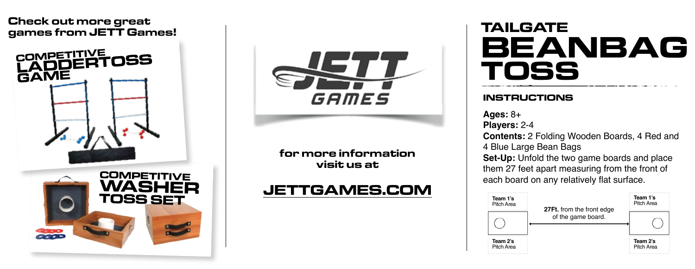#### **Check out more great games from JETT Games!**





**for more information visit us at**

## **JETTGAMES.COM**

# **TAILGATE BEANBAG TOSS**

#### **INSTRUCTIONS**

**Ages:** 8+

**Players:** 2-4

**Contents:** 2 Folding Wooden Boards, 4 Red and 4 Blue Large Bean Bags

**Set-Up:** Unfold the two game boards and place them 27 feet apart measuring from the front of each board on any relatively flat surface.